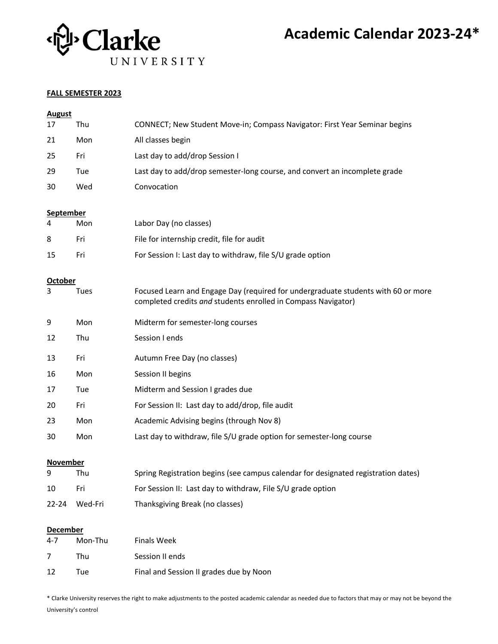

#### **FALL SEMESTER 2023**

| <b>August</b>          |         |                                                                                                                                                    |  |  |  |
|------------------------|---------|----------------------------------------------------------------------------------------------------------------------------------------------------|--|--|--|
| 17                     | Thu     | CONNECT; New Student Move-in; Compass Navigator: First Year Seminar begins                                                                         |  |  |  |
| 21                     | Mon     | All classes begin                                                                                                                                  |  |  |  |
| 25                     | Fri     | Last day to add/drop Session I                                                                                                                     |  |  |  |
| 29                     | Tue     | Last day to add/drop semester-long course, and convert an incomplete grade                                                                         |  |  |  |
| 30                     | Wed     | Convocation                                                                                                                                        |  |  |  |
|                        |         |                                                                                                                                                    |  |  |  |
| <b>September</b><br>4  | Mon     | Labor Day (no classes)                                                                                                                             |  |  |  |
| 8                      | Fri     | File for internship credit, file for audit                                                                                                         |  |  |  |
| 15                     | Fri     | For Session I: Last day to withdraw, file S/U grade option                                                                                         |  |  |  |
|                        |         |                                                                                                                                                    |  |  |  |
| <b>October</b><br>3    | Tues    | Focused Learn and Engage Day (required for undergraduate students with 60 or more<br>completed credits and students enrolled in Compass Navigator) |  |  |  |
| 9                      | Mon     | Midterm for semester-long courses                                                                                                                  |  |  |  |
| 12                     | Thu     | Session I ends                                                                                                                                     |  |  |  |
| 13                     | Fri     | Autumn Free Day (no classes)                                                                                                                       |  |  |  |
| 16                     | Mon     | Session II begins                                                                                                                                  |  |  |  |
| 17                     | Tue     | Midterm and Session I grades due                                                                                                                   |  |  |  |
| 20                     | Fri     | For Session II: Last day to add/drop, file audit                                                                                                   |  |  |  |
| 23                     | Mon     | Academic Advising begins (through Nov 8)                                                                                                           |  |  |  |
| 30                     | Mon     | Last day to withdraw, file S/U grade option for semester-long course                                                                               |  |  |  |
| <b>November</b>        |         |                                                                                                                                                    |  |  |  |
| 9                      | Thu     | Spring Registration begins (see campus calendar for designated registration dates)                                                                 |  |  |  |
| 10                     | Fri     | For Session II: Last day to withdraw, File S/U grade option                                                                                        |  |  |  |
| $22 - 24$              | Wed-Fri | Thanksgiving Break (no classes)                                                                                                                    |  |  |  |
|                        |         |                                                                                                                                                    |  |  |  |
| <b>December</b><br>4-7 | Mon-Thu | <b>Finals Week</b>                                                                                                                                 |  |  |  |
| 7                      | Thu     | Session II ends                                                                                                                                    |  |  |  |
| 12                     | Tue     | Final and Session II grades due by Noon                                                                                                            |  |  |  |
|                        |         |                                                                                                                                                    |  |  |  |

\* Clarke University reserves the right to make adjustments to the posted academic calendar as needed due to factors that may or may not be beyond the University's control